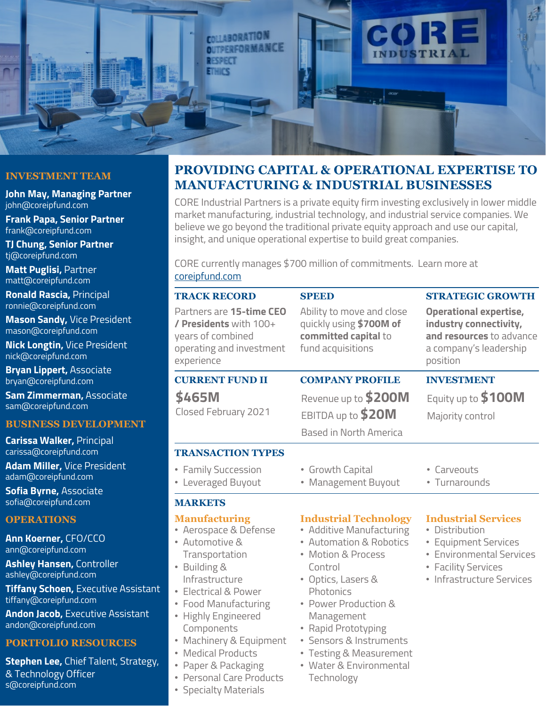

## **INVESTMENT TEAM**

**John May, Managing Partner** john@coreipfund.com

**Frank Papa, Senior Partner** frank@coreipfund.com

**TJ Chung, Senior Partner** tj@coreipfund.com

**Matt Puglisi,** Partner matt@coreipfund.com

**Ronald Rascia,** Principal ronnie@coreipfund.com

**Mason Sandy,** Vice President mason@coreipfund.com

**Nick Longtin,** Vice President nick@coreipfund.com

**Bryan Lippert,** Associate bryan@coreipfund.com

**Sam Zimmerman,** Associate sam@coreipfund.com

### **BUSINESS DEVELOPMENT**

**Carissa Walker,** Principal carissa@coreipfund.com

**Adam Miller,** Vice President adam@coreipfund.com

**Sofia Byrne,** Associate sofia@coreipfund.com

## **OPERATIONS**

**Ann Koerner,** CFO/CCO ann@coreipfund.com

**Ashley Hansen,** Controller ashley@coreipfund.com

**Tiffany Schoen,** Executive Assistant tiffany@coreipfund.com

**Andon Jacob,** Executive Assistant andon@coreipfund.com

### **PORTFOLIO RESOURCES**

**Stephen Lee,** Chief Talent, Strategy, & Technology Officer s@coreipfund.com

# **PROVIDING CAPITAL & OPERATIONAL EXPERTISE TO MANUFACTURING & INDUSTRIAL BUSINESSES**

CORE Industrial Partners is a private equity firm investing exclusively in lower middle market manufacturing, industrial technology, and industrial service companies. We believe we go beyond the traditional private equity approach and use our capital, insight, and unique operational expertise to build great companies.

CORE currently manages \$700 million of commitments. Learn more at [coreipfund.com](http://www.coreipfund.com/)

| <b>TRACK RECORD</b>                                                                                                                                                                                                                                                                                                                        | <b>SPEED</b>                                                                                                                                                                                                                                                                                                        | <b>STRATEGIC GROWTH</b>                                                                                                                                   |
|--------------------------------------------------------------------------------------------------------------------------------------------------------------------------------------------------------------------------------------------------------------------------------------------------------------------------------------------|---------------------------------------------------------------------------------------------------------------------------------------------------------------------------------------------------------------------------------------------------------------------------------------------------------------------|-----------------------------------------------------------------------------------------------------------------------------------------------------------|
| Partners are 15-time CEO<br>/ Presidents with 100+<br>years of combined<br>operating and investment<br>experience                                                                                                                                                                                                                          | Ability to move and close<br>quickly using \$700M of<br>committed capital to<br>fund acquisitions                                                                                                                                                                                                                   | <b>Operational expertise,</b><br>industry connectivity,<br>and resources to advance<br>a company's leadership<br>position                                 |
| <b>CURRENT FUND II</b>                                                                                                                                                                                                                                                                                                                     | <b>COMPANY PROFILE</b>                                                                                                                                                                                                                                                                                              | <b>INVESTMENT</b>                                                                                                                                         |
| \$465M<br>Closed February 2021                                                                                                                                                                                                                                                                                                             | Revenue up to \$200M<br>EBITDA up to \$20M<br>Based in North America                                                                                                                                                                                                                                                | Equity up to \$100M<br>Majority control                                                                                                                   |
| <b>TRANSACTION TYPES</b>                                                                                                                                                                                                                                                                                                                   |                                                                                                                                                                                                                                                                                                                     |                                                                                                                                                           |
| • Family Succession<br>• Leveraged Buyout                                                                                                                                                                                                                                                                                                  | • Growth Capital<br>• Management Buyout                                                                                                                                                                                                                                                                             | • Carveouts<br>• Turnarounds                                                                                                                              |
| <b>MARKETS</b>                                                                                                                                                                                                                                                                                                                             |                                                                                                                                                                                                                                                                                                                     |                                                                                                                                                           |
| <b>Manufacturing</b><br>• Aerospace & Defense<br>• Automotive &<br>Transportation<br>• Building &<br>Infrastructure<br>• Electrical & Power<br>• Food Manufacturing<br>• Highly Engineered<br>Components<br>• Machinery & Equipment<br><b>Medical Products</b><br>• Paper & Packaging<br>• Personal Care Products<br>• Specialty Materials | <b>Industrial Technology</b><br>• Additive Manufacturing<br>• Automation & Robotics<br>• Motion & Process<br>Control<br>• Optics, Lasers &<br>Photonics<br>• Power Production &<br>Management<br>• Rapid Prototyping<br>· Sensors & Instruments<br>• Testing & Measurement<br>• Water & Environmental<br>Technology | <b>Industrial Services</b><br>• Distribution<br>• Equipment Services<br><b>Environmental Services</b><br>• Facility Services<br>• Infrastructure Services |